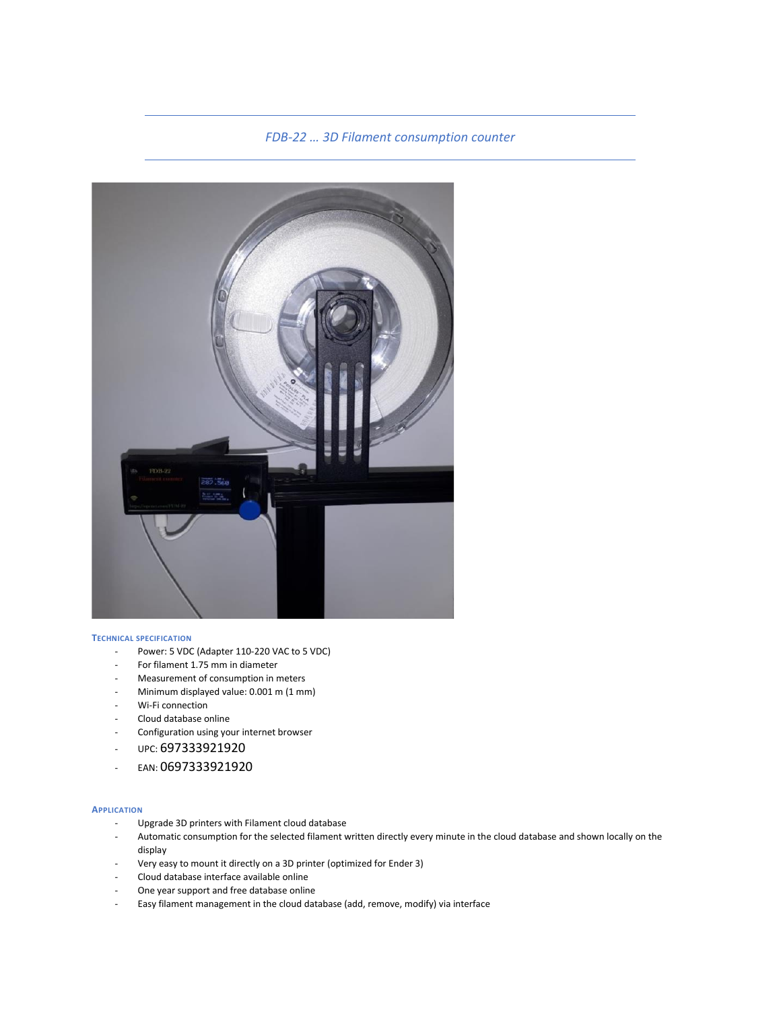# *FDB-22 … 3D Filament consumption counter*



#### **TECHNICAL SPECIFICATION**

- Power: 5 VDC (Adapter 110-220 VAC to 5 VDC)
- For filament 1.75 mm in diameter
- Measurement of consumption in meters
- Minimum displayed value: 0.001 m (1 mm)
- Wi-Fi connection
- Cloud database online
- Configuration using your internet browser
- UPC: 697333921920
- EAN: 0697333921920

#### **APPLICATION**

- Upgrade 3D printers with Filament cloud database
- Automatic consumption for the selected filament written directly every minute in the cloud database and shown locally on the display
- Very easy to mount it directly on a 3D printer (optimized for Ender 3)
- Cloud database interface available online
- One year support and free database online
- Easy filament management in the cloud database (add, remove, modify) via interface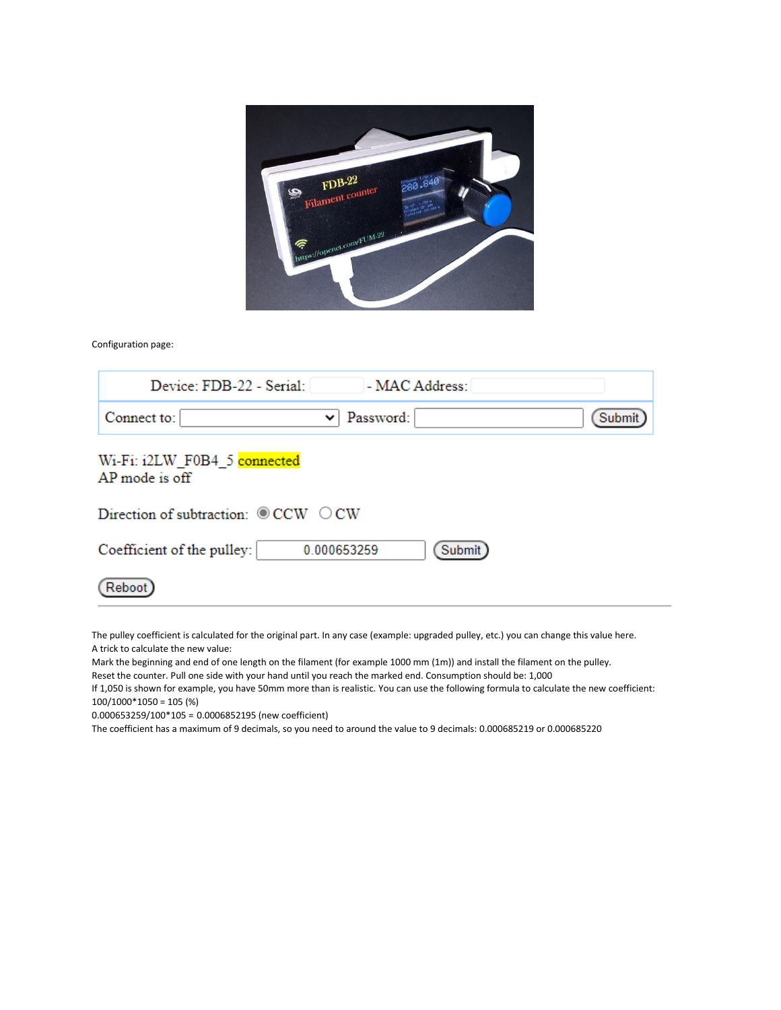

Configuration page:

| Device: FDB-22 - Serial:<br>- MAC Address:              |
|---------------------------------------------------------|
| Password:<br>Connect to:<br>Submit<br>$\checkmark$      |
| Wi-Fi: i2LW F0B4 5 connected<br>AP mode is off          |
| Direction of subtraction: $\circledcirc$ CCW $\circ$ CW |
| Submit<br>Coefficient of the pulley:<br>0.000653259     |
| Rehoot                                                  |

The pulley coefficient is calculated for the original part. In any case (example: upgraded pulley, etc.) you can change this value here. A trick to calculate the new value:

Mark the beginning and end of one length on the filament (for example 1000 mm (1m)) and install the filament on the pulley.

Reset the counter. Pull one side with your hand until you reach the marked end. Consumption should be: 1,000

If 1,050 is shown for example, you have 50mm more than is realistic. You can use the following formula to calculate the new coefficient: 100/1000\*1050 = 105 (%)

0.000653259/100\*105 = 0.0006852195 (new coefficient)

The coefficient has a maximum of 9 decimals, so you need to around the value to 9 decimals: 0.000685219 or 0.000685220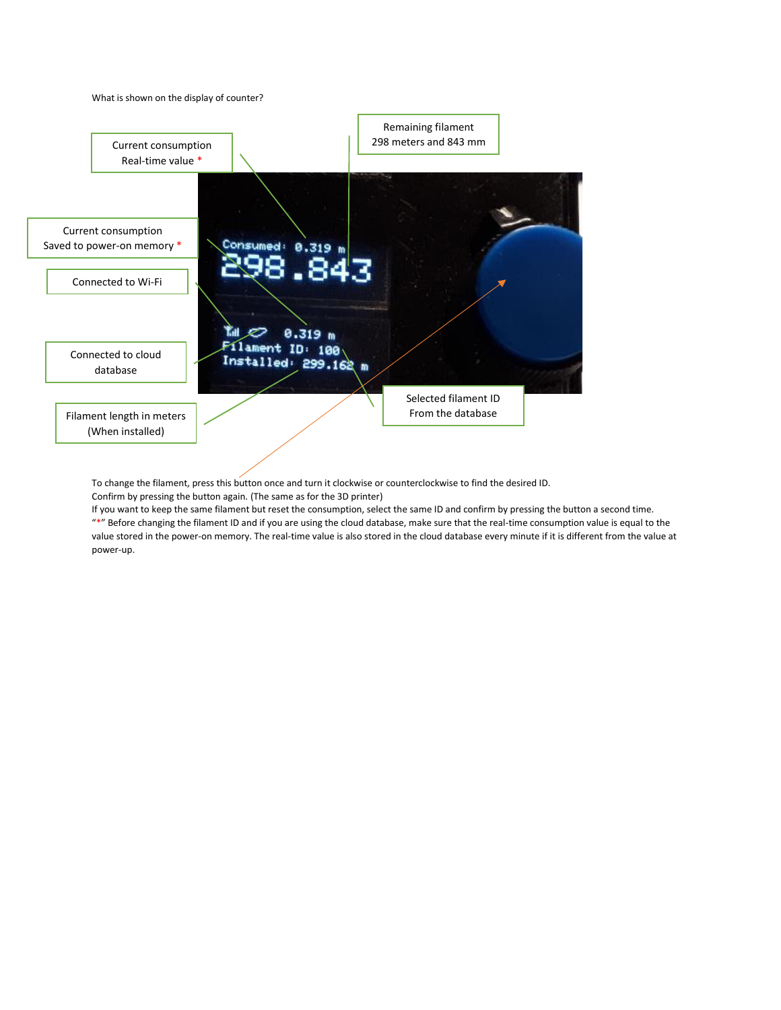What is shown on the display of counter?



To change the filament, press this button once and turn it clockwise or counterclockwise to find the desired ID. Confirm by pressing the button again. (The same as for the 3D printer)

If you want to keep the same filament but reset the consumption, select the same ID and confirm by pressing the button a second time. "\*" Before changing the filament ID and if you are using the cloud database, make sure that the real-time consumption value is equal to the value stored in the power-on memory. The real-time value is also stored in the cloud database every minute if it is different from the value at power-up.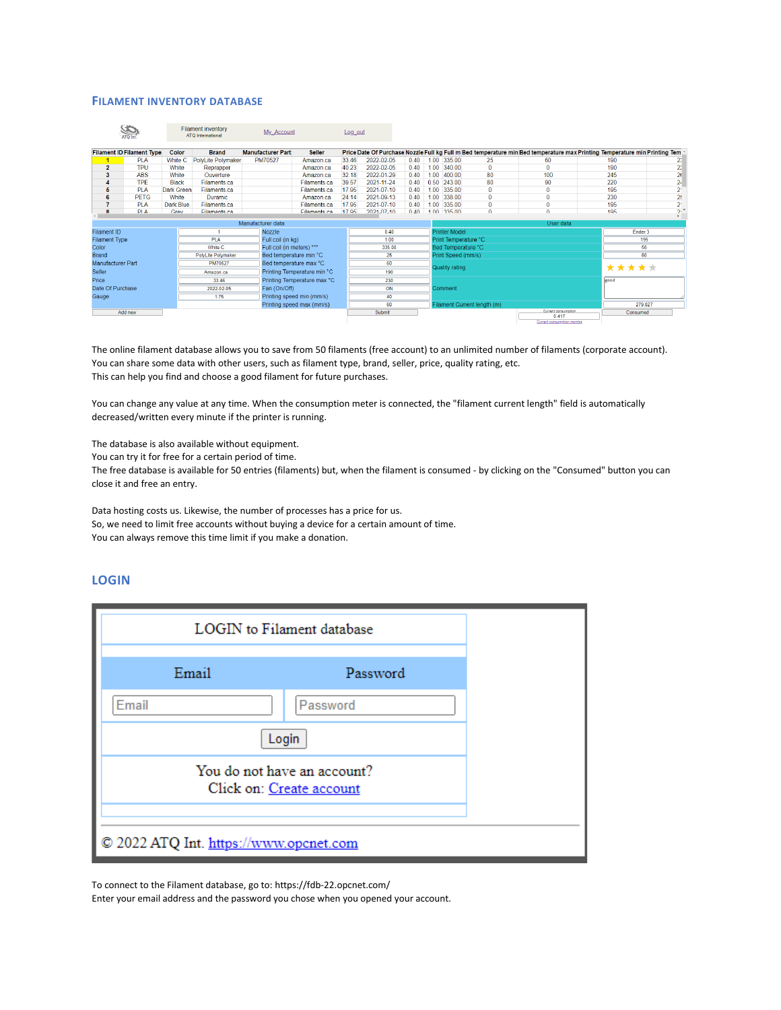### **FILAMENT INVENTORY DATABASE**

| ATO Int              |                                  |                   | <b>Filament inventory</b><br><b>ATO</b> International | My Account                |                             |       | Log_out    |      |                             |                      |          |                                                                                                                            |         |          |                |
|----------------------|----------------------------------|-------------------|-------------------------------------------------------|---------------------------|-----------------------------|-------|------------|------|-----------------------------|----------------------|----------|----------------------------------------------------------------------------------------------------------------------------|---------|----------|----------------|
|                      | <b>Filament ID Filament Type</b> | Color             | <b>Brand</b>                                          | <b>Manufacturer Part</b>  | <b>Seller</b>               |       |            |      |                             |                      |          | Price Date Of Purchase Nozzle Full kg Full m Bed temperature min Bed temperature max Printing Temperature min Printing Tem |         |          |                |
|                      | <b>PLA</b>                       | White C           | <b>PolyLite Polymaker</b>                             | PM70527                   | Amazon.ca                   | 33.46 | 2022-02-05 | 0.40 | 1.00                        | 335.00               | 25       | 60                                                                                                                         |         | 190      | 23             |
| $\overline{2}$       | <b>TPU</b>                       | White             | Reprapper                                             |                           | Amazon ca                   | 40.23 | 2022-02-05 | 0.40 |                             | 1.00 340.00          | 0        | $\Omega$                                                                                                                   |         | 190      | 2:             |
| 3                    | <b>ABS</b>                       | White             | Ouverture                                             |                           | Amazon.ca                   | 32.18 | 2022-01-29 | 0.40 | 1.00                        | 400.00               | 80       | 100                                                                                                                        |         | 245      | $\overline{2}$ |
|                      | <b>TPF</b>                       | <b>Black</b>      | Filaments ca                                          |                           | Filaments ca                | 39.57 | 2021-11-24 | 0.40 | 0.50                        | 243.00               | 80       | 90                                                                                                                         |         | 220      | 2 <sub>i</sub> |
| 5                    | <b>PLA</b>                       | <b>Dark Green</b> | Filaments.ca                                          |                           | Filaments.ca                | 17.95 | 2021-07-10 | 0.40 | 1.00                        | 335.00               | $\bf{0}$ | $\mathbf{0}$                                                                                                               |         | 195      | $\overline{2}$ |
| 6                    | <b>PETG</b>                      | White             | Duramic.                                              |                           | Amazon ca                   | 24.14 | 2021-09-13 | 0.40 | 1.00                        | 338.00               | $\bf{0}$ | $\mathbf{0}$                                                                                                               |         | 230      | 2!             |
| 7                    | <b>PLA</b>                       | Dark Blue         | Filaments ca                                          |                           | Filaments ca                | 17.95 | 2021-07-10 | 0.40 | $100 -$                     | 335.00               | Ō        | o                                                                                                                          |         | 195      | $\overline{2}$ |
| R                    | <b>PIA</b>                       | Grov              | Filamonte ca                                          |                           | Filamente ca                | 17.95 | 2021.07.10 | 0.40 |                             | 1.00 335.00          | $\Omega$ | $\Omega$                                                                                                                   |         | 105      | 2 <sup>7</sup> |
| Manufacturer data    |                                  |                   |                                                       |                           |                             |       |            |      |                             | User data            |          |                                                                                                                            |         |          |                |
| Filament ID          |                                  |                   |                                                       | <b>Nozzle</b>             |                             |       | 0.40       |      |                             | <b>Printer Model</b> |          |                                                                                                                            |         | Ender 3  |                |
| <b>Filament Type</b> |                                  |                   | <b>PLA</b>                                            | Full coil (in kg)         |                             |       | 1.00       |      |                             | Print Temperature °C |          |                                                                                                                            |         | 195      |                |
| Color                |                                  |                   | <b>White C</b>                                        | Full coil (in meters) *** |                             |       | 335.00     |      |                             | Bed Temperature °C   |          |                                                                                                                            |         | 55       |                |
| <b>Brand</b>         |                                  |                   | <b>PolyLite Polymaker</b>                             |                           | Bed temperature min °C      |       | 25         |      |                             | Print Speed (mm/s)   |          |                                                                                                                            |         | 60       |                |
| Manufacturer Part    |                                  |                   | PM70527                                               |                           | Bed temperature max °C      |       | 60         |      |                             |                      |          |                                                                                                                            |         |          |                |
| <b>Seller</b>        |                                  |                   | Amazon.ca                                             |                           | Printing Temperature min °C |       | 190        |      | *****<br>Quality rating     |                      |          |                                                                                                                            |         |          |                |
| Price                |                                  |                   | 33.46                                                 |                           | Printing Temperature max °C |       | 230        |      |                             |                      |          |                                                                                                                            |         | good     |                |
| Date Of Purchase     |                                  |                   | 2022-02-05                                            |                           | Fan (On/Off)                |       | ON         |      |                             | Comment              |          |                                                                                                                            |         |          |                |
| Gauge                |                                  |                   | 1.75                                                  | Printing speed min (mm/s) |                             |       | 40         |      |                             |                      |          |                                                                                                                            |         |          |                |
|                      |                                  |                   |                                                       |                           | Printing speed max (mm/s)   |       | 60         |      | Filament Current length (m) |                      |          |                                                                                                                            | 279.827 |          |                |
|                      | Add new                          |                   |                                                       |                           |                             |       | Submit     |      |                             |                      |          | Current consumption<br>0.417                                                                                               |         | Consumed |                |
|                      |                                  |                   |                                                       |                           |                             |       |            |      |                             |                      |          | Current consumption monitor                                                                                                |         |          |                |

The online filament database allows you to save from 50 filaments (free account) to an unlimited number of filaments (corporate account). You can share some data with other users, such as filament type, brand, seller, price, quality rating, etc. This can help you find and choose a good filament for future purchases.

You can change any value at any time. When the consumption meter is connected, the "filament current length" field is automatically decreased/written every minute if the printer is running.

The database is also available without equipment.

You can try it for free for a certain period of time.

The free database is available for 50 entries (filaments) but, when the filament is consumed - by clicking on the "Consumed" button you can close it and free an entry.

Data hosting costs us. Likewise, the number of processes has a price for us. So, we need to limit free accounts without buying a device for a certain amount of time. You can always remove this time limit if you make a donation.

## **LOGIN**

| LOGIN to Filament database                              |          |  |  |  |  |
|---------------------------------------------------------|----------|--|--|--|--|
| Email                                                   | Password |  |  |  |  |
| Email                                                   | Password |  |  |  |  |
| Login                                                   |          |  |  |  |  |
| You do not have an account?<br>Click on: Create account |          |  |  |  |  |
| © 2022 ATQ Int. https://www.opcnet.com                  |          |  |  |  |  |

To connect to the Filament database, go to: https://fdb-22.opcnet.com/

Enter your email address and the password you chose when you opened your account.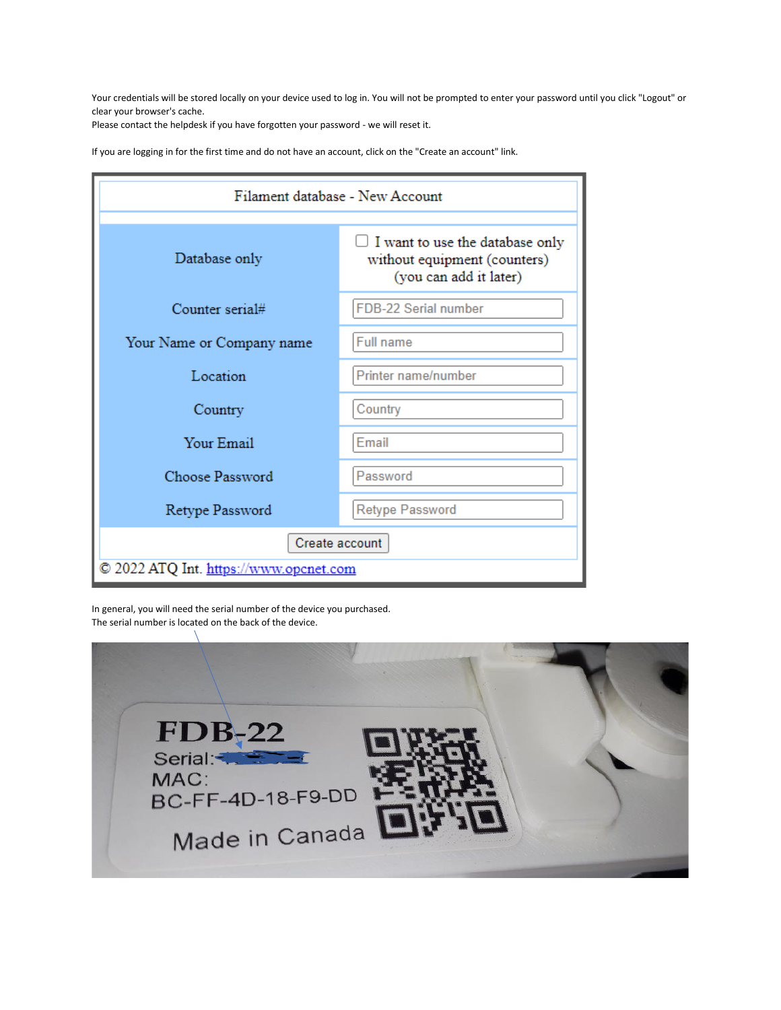Your credentials will be stored locally on your device used to log in. You will not be prompted to enter your password until you click "Logout" or clear your browser's cache.

Please contact the helpdesk if you have forgotten your password - we will reset it.

If you are logging in for the first time and do not have an account, click on the "Create an account" link.

| Filament database - New Account                          |                                                                                                |  |  |  |  |  |
|----------------------------------------------------------|------------------------------------------------------------------------------------------------|--|--|--|--|--|
| Database only                                            | I want to use the database only<br>U<br>without equipment (counters)<br>(you can add it later) |  |  |  |  |  |
| Counter serial#                                          | FDB-22 Serial number                                                                           |  |  |  |  |  |
| Your Name or Company name                                | <b>Full name</b>                                                                               |  |  |  |  |  |
| Location                                                 | Printer name/number                                                                            |  |  |  |  |  |
| Country                                                  | Country<br>Email<br>Password                                                                   |  |  |  |  |  |
| Your Email                                               |                                                                                                |  |  |  |  |  |
| Choose Password                                          |                                                                                                |  |  |  |  |  |
| Retype Password                                          | <b>Retype Password</b>                                                                         |  |  |  |  |  |
| Create account<br>© 2022 ATQ Int. https://www.opcnet.com |                                                                                                |  |  |  |  |  |

In general, you will need the serial number of the device you purchased. The serial number is located on the back of the device.